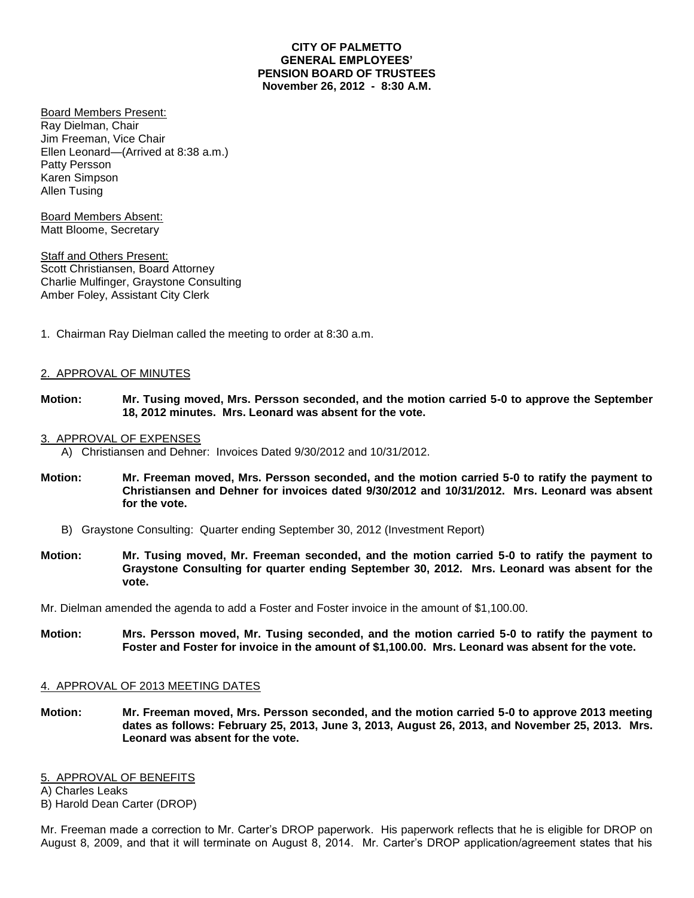## **CITY OF PALMETTO GENERAL EMPLOYEES' PENSION BOARD OF TRUSTEES November 26, 2012 - 8:30 A.M.**

Board Members Present: Ray Dielman, Chair Jim Freeman, Vice Chair Ellen Leonard—(Arrived at 8:38 a.m.) Patty Persson Karen Simpson Allen Tusing

Board Members Absent: Matt Bloome, Secretary

**Staff and Others Present:** Scott Christiansen, Board Attorney Charlie Mulfinger, Graystone Consulting Amber Foley, Assistant City Clerk

1. Chairman Ray Dielman called the meeting to order at 8:30 a.m.

# 2. APPROVAL OF MINUTES

**Motion: Mr. Tusing moved, Mrs. Persson seconded, and the motion carried 5-0 to approve the September 18, 2012 minutes. Mrs. Leonard was absent for the vote.**

## 3. APPROVAL OF EXPENSES

A) Christiansen and Dehner: Invoices Dated 9/30/2012 and 10/31/2012.

- **Motion: Mr. Freeman moved, Mrs. Persson seconded, and the motion carried 5-0 to ratify the payment to Christiansen and Dehner for invoices dated 9/30/2012 and 10/31/2012. Mrs. Leonard was absent for the vote.**
	- B) Graystone Consulting: Quarter ending September 30, 2012 (Investment Report)
- **Motion: Mr. Tusing moved, Mr. Freeman seconded, and the motion carried 5-0 to ratify the payment to Graystone Consulting for quarter ending September 30, 2012. Mrs. Leonard was absent for the vote.**

Mr. Dielman amended the agenda to add a Foster and Foster invoice in the amount of \$1,100.00.

**Motion: Mrs. Persson moved, Mr. Tusing seconded, and the motion carried 5-0 to ratify the payment to Foster and Foster for invoice in the amount of \$1,100.00. Mrs. Leonard was absent for the vote.**

## 4. APPROVAL OF 2013 MEETING DATES

**Motion: Mr. Freeman moved, Mrs. Persson seconded, and the motion carried 5-0 to approve 2013 meeting dates as follows: February 25, 2013, June 3, 2013, August 26, 2013, and November 25, 2013. Mrs. Leonard was absent for the vote.**

## 5. APPROVAL OF BENEFITS

A) Charles Leaks B) Harold Dean Carter (DROP)

Mr. Freeman made a correction to Mr. Carter's DROP paperwork. His paperwork reflects that he is eligible for DROP on August 8, 2009, and that it will terminate on August 8, 2014. Mr. Carter's DROP application/agreement states that his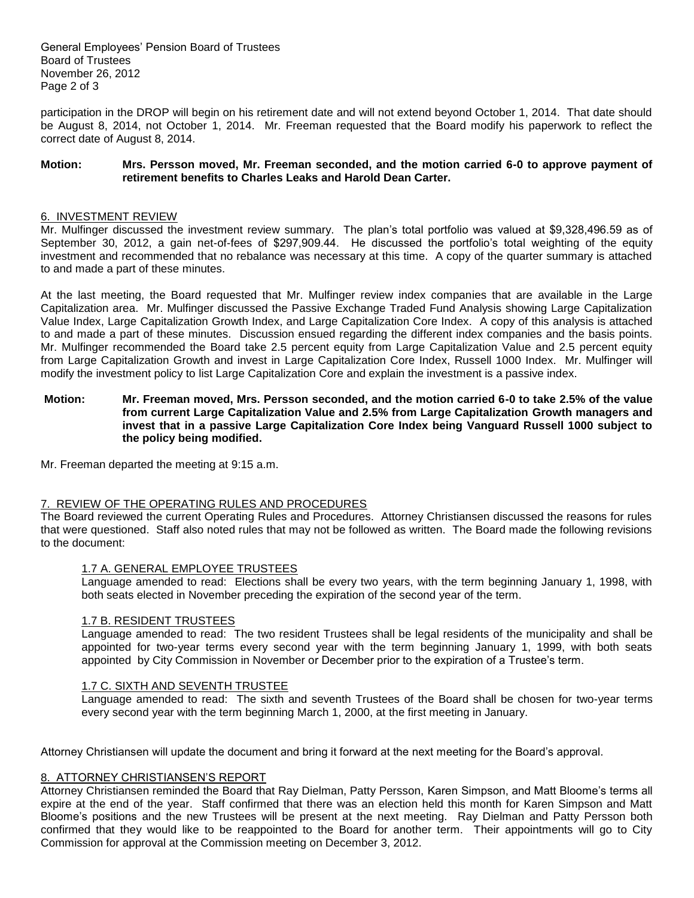General Employees' Pension Board of Trustees Board of Trustees November 26, 2012 Page 2 of 3

participation in the DROP will begin on his retirement date and will not extend beyond October 1, 2014. That date should be August 8, 2014, not October 1, 2014. Mr. Freeman requested that the Board modify his paperwork to reflect the correct date of August 8, 2014.

## **Motion: Mrs. Persson moved, Mr. Freeman seconded, and the motion carried 6-0 to approve payment of retirement benefits to Charles Leaks and Harold Dean Carter.**

#### 6. INVESTMENT REVIEW

Mr. Mulfinger discussed the investment review summary. The plan's total portfolio was valued at \$9,328,496.59 as of September 30, 2012, a gain net-of-fees of \$297,909.44. He discussed the portfolio's total weighting of the equity investment and recommended that no rebalance was necessary at this time. A copy of the quarter summary is attached to and made a part of these minutes.

At the last meeting, the Board requested that Mr. Mulfinger review index companies that are available in the Large Capitalization area. Mr. Mulfinger discussed the Passive Exchange Traded Fund Analysis showing Large Capitalization Value Index, Large Capitalization Growth Index, and Large Capitalization Core Index. A copy of this analysis is attached to and made a part of these minutes. Discussion ensued regarding the different index companies and the basis points. Mr. Mulfinger recommended the Board take 2.5 percent equity from Large Capitalization Value and 2.5 percent equity from Large Capitalization Growth and invest in Large Capitalization Core Index, Russell 1000 Index. Mr. Mulfinger will modify the investment policy to list Large Capitalization Core and explain the investment is a passive index.

## **Motion: Mr. Freeman moved, Mrs. Persson seconded, and the motion carried 6-0 to take 2.5% of the value from current Large Capitalization Value and 2.5% from Large Capitalization Growth managers and invest that in a passive Large Capitalization Core Index being Vanguard Russell 1000 subject to the policy being modified.**

Mr. Freeman departed the meeting at 9:15 a.m.

## 7. REVIEW OF THE OPERATING RULES AND PROCEDURES

The Board reviewed the current Operating Rules and Procedures. Attorney Christiansen discussed the reasons for rules that were questioned. Staff also noted rules that may not be followed as written. The Board made the following revisions to the document:

## 1.7 A. GENERAL EMPLOYEE TRUSTEES

Language amended to read: Elections shall be every two years, with the term beginning January 1, 1998, with both seats elected in November preceding the expiration of the second year of the term.

#### 1.7 B. RESIDENT TRUSTEES

Language amended to read: The two resident Trustees shall be legal residents of the municipality and shall be appointed for two-year terms every second year with the term beginning January 1, 1999, with both seats appointed by City Commission in November or December prior to the expiration of a Trustee's term.

#### 1.7 C. SIXTH AND SEVENTH TRUSTEE

Language amended to read: The sixth and seventh Trustees of the Board shall be chosen for two-year terms every second year with the term beginning March 1, 2000, at the first meeting in January.

Attorney Christiansen will update the document and bring it forward at the next meeting for the Board's approval.

#### 8. ATTORNEY CHRISTIANSEN'S REPORT

Attorney Christiansen reminded the Board that Ray Dielman, Patty Persson, Karen Simpson, and Matt Bloome's terms all expire at the end of the year. Staff confirmed that there was an election held this month for Karen Simpson and Matt Bloome's positions and the new Trustees will be present at the next meeting. Ray Dielman and Patty Persson both confirmed that they would like to be reappointed to the Board for another term. Their appointments will go to City Commission for approval at the Commission meeting on December 3, 2012.